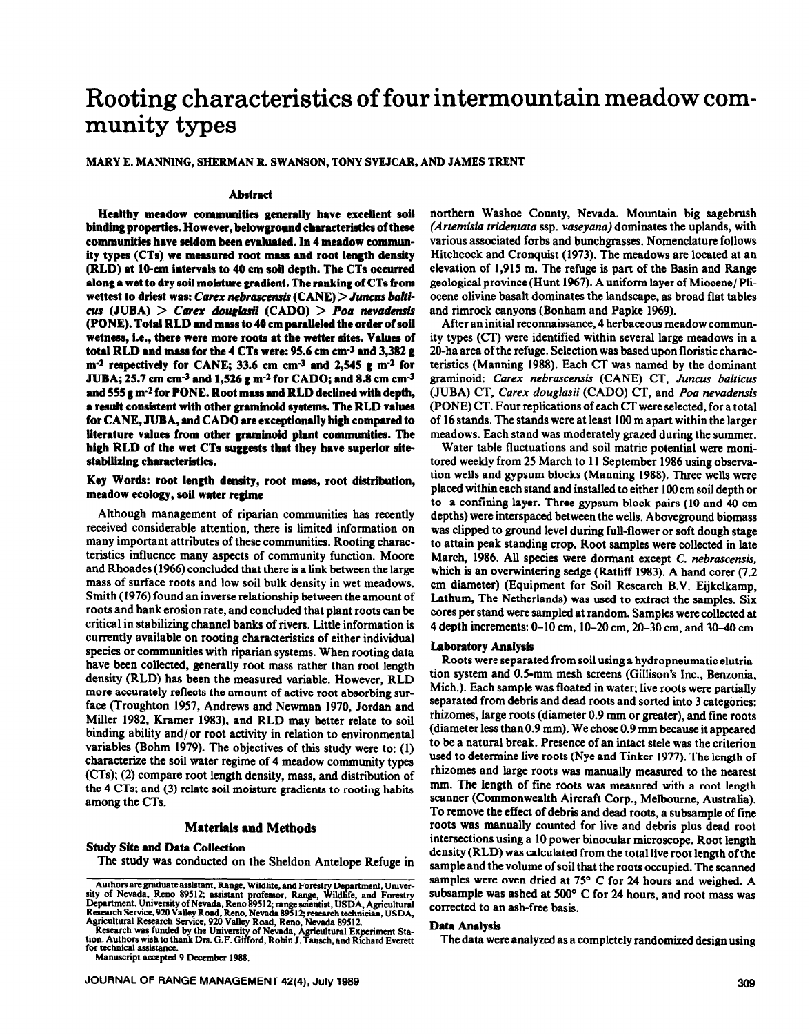# **Rooting characteristics of four intermountain meadow community types**

## **MARY E. MANNING, SHERMAN R. SWANSON, TONY SVEJCAR, AND JAMES TRENT**

## **Abstract**

**Healthy meadow communities generally hive excellent soil binding properties. However, belowground characteristics of these communities have seldom been evaluated. In 4 meadow community types (CTs) we measured root mass and root length density (RLD) at 19-cm intervals to 40 cm soil depth.** The CTs occurred **along a wet to dry soil moisture gradient. The ranking of CTs from**  wettest to driest was: *Carex nebrascensis* (CANE) > *Juncus balti* $c$ *us* (JUBA) > *Carex douglasii* (CADO) > *Poa nevadensis* **(PONE). Total RLD and mass to 40 cm paralleled the order of soil wetness, i.e., there were more roots at the wetter sites.** Values **of total RLD and mass for the 4 CTs were: 95.6 cm cm-3 and 3,382 g m-2 respectively for** *CANE,* **33.6 cm cm-3 and 2,545 g m-2 for JUBA; 25.7 cm cm-3 and 1,526 g m-2 for CADO; and 8.8 cm cm3 and 555 g m-2 for PONE. Root mass and RLD declined with depth,**  a result consistent with other graminoid systems. The RLD values **for CANE, JUBA, and CAD0 are exceptionally high compared to literature values from other graminoid plant communities. The high RLD of the wet CTs suggests that they have superior sitestabilizing characteristics.** 

**Key Words: root length density, root mass, root distribution, meadow ecology, soil water regime** 

Although management of riparian communities has recently received considerable attention, there is limited information on many important attributes of these communities. Rooting characteristics influence many aspects of community function. Moore and Rhoades (1966) concluded that there is a link between the large mass of surface roots and low soil bulk density in wet meadows. Smith (1976) found an inverse relationship between the amount of roots and bank erosion rate, and concluded that plant roots can be critical in stabilizing channel banks of rivers. Little information is currently available on rooting characteristics of either individual species or communities with riparian systems. When rooting data have been collected, generally root mass rather than root length density (RLD) has been the measured variable. However, RLD more accurately reflects the amount of active root absorbing surface (Troughton 1957, Andrews and Newman 1970, Jordan and Miller 1982, Kramer 1983), and RLD may better relate to soil binding ability and/or root activity in relation to environmental variables (Bohm 1979). The objectives of this study were to: (1) characterize the soil water regime of 4 meadow community types (CTs); **(2)** compare root length density, mass, and distribution of the 4 CTs; and (3) relate soil moisture gradients to rooting habits among the CTs.

## **Materials and Methods**

# **Study Site and Data Collection**

**The** study was conducted on the Sheldon Antelope Refuge in

**for technical assistance.** 

**Manuscript accepted 9 December 1988.** 

northern Washoe County, Nevada. Mountain big sagebrush *(Artemisia tridentata* ssp. *vaseyana)* dominates the uplands, with various associated forbs and bunchgrasses. Nomenclature follows Hitchcock and Cronquist (1973). The meadows are located at an elevation of 1,915 m. The refuge is part of the Basin and Range geological province (Hunt 1967). A uniform layer of Miocene/ Pliocene olivine basalt dominates the landscape, as broad flat tables and rimrock canyons (Bonham and Papke 1969).

After an initial reconnaissance, 4 herbaceous meadow community types (CT) were identified within several large meadows in a 20-ha area of the refuge. Selection was based upon floristic characteristics (Manning 1988). Each CT was named by the dominant graminoid: *Carex nebrascensis* (CANE) CT, *Juncus balticus*  (JUBA) CT, *Carex douglasii* (CADO) CT, and *Poa nevadensis*  (PONE) CT. Four replications of each CT were selected, for a total of 16 stands. The stands were at least 100 m apart within the larger meadows. Each stand was moderately grazed during the summer.

Water table fluctuations and soil matric potential were monitored weekly from 25 March to 11 September 1986 using observation wells and gypsum blocks (Manning 1988). Three wells were placed within each stand and installed to either 100 cm soil depth or to a confining layer. Three gypsum block pairs (10 and 40 cm depths) were interspaced between the wells. Aboveground biomass was clipped to ground level during full-flower or soft dough stage to attain peak standing crop. Root samples were collected in late March, 1986. All species were dormant except C. *nebrascensis,*  which is an overwintering sedge (Ratliff 1983). A hand corer (7.2) cm diameter) (Equipment for Soil Research B.V. Eijkelkamp, Lathum, The Netherlands) was used to extract the samples. Six cores per stand were sampled at random. Samples were collected at 4 depth increments: O-10 cm, lo-20 cm, 20-30 cm, and 3040 cm.

## **Laboratory Analysis**

Roots were separated from soil using a hydropneumatic elutriation system and 0.5-mm mesh screens (Gillison's Inc., Benzonia, Mich.). Each sample was floated in water; live roots were partially separated from debris and dead roots and sorted into 3 categories: rhizomes, large roots (diameter 0.9 mm or greater), and fine roots (diameter less than 0.9 mm). We chose 0.9 mm because it appeared to be a natural break. Presence of an intact stele was the criterion used to determine live roots (Nye and Tinker 1977). The length of rhizomes and large roots was manually measured to the nearest mm. The length of fine roots was measured with a root length scanner (Commonwealth Aircraft Corp., Melbourne, Australia). To remove the effect of debris and **dead roots, a subsample of fine roots was manually counted for live and debris plus dead root intersections using a 10 power binocular microscope. Root length density** (RLD) was **calculated from the total live root length of the sample and the volume of soil that the roots occupied. The scanned samples were oven dried at 75' C for 24 hours and weighed. A subsample was ashed at 500" C for 24 hours, and root mass was corrected to an ash-free basis.** 

### Data Analysis

The data were analyzed as a completely randomized design using

**Authors am graduate assistant, Range, Wildlife, and Forestry Department. Univcr-sity of Nevada, Rcno 89512; assistant professor, Range, Wildhfe, and Forestry**  Department, University of Nevada, Reno 89512; range scientist, USDA, Agricultural<br>Research Service, 920 Valley Road, Reno, Nevada 89512; research technician, USDA,<br>Agricultural Research Service, 920 Valley Road, Reno, Neva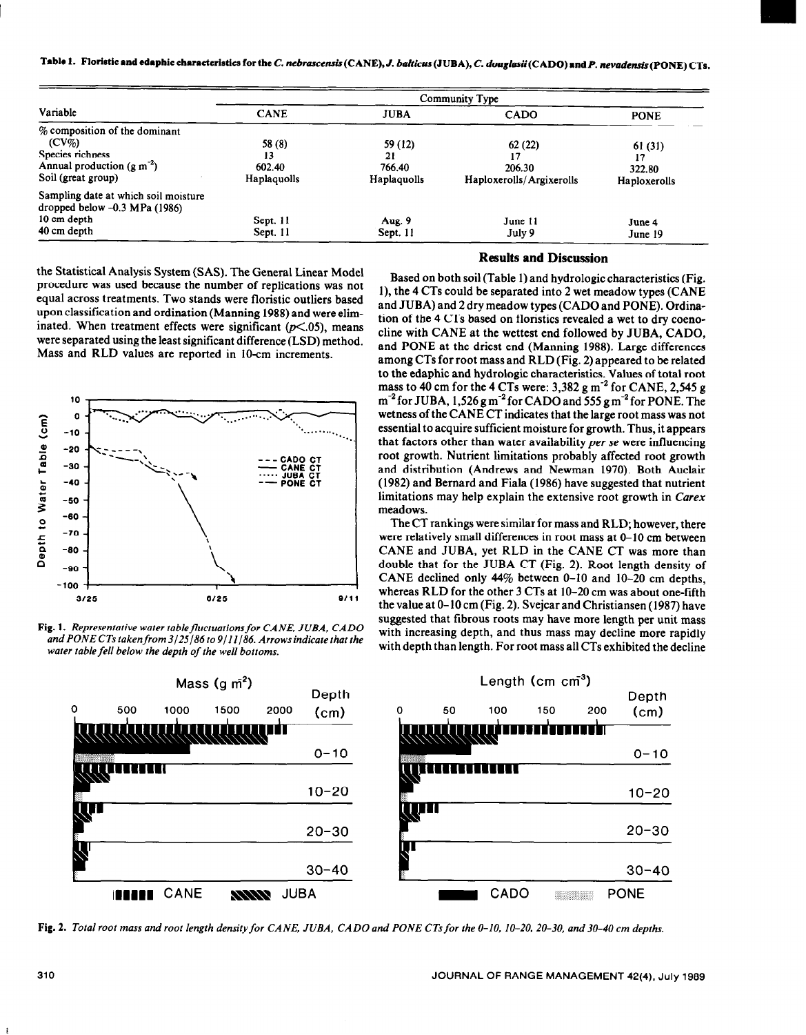|  |  | Table 1. Floristic and edaphic characteristics for the C. nebrascensis (CANE), J. balticus (JUBA), C. douglasii (CADO) and P. nevadensis (PONE) CTs. |  |
|--|--|------------------------------------------------------------------------------------------------------------------------------------------------------|--|
|--|--|------------------------------------------------------------------------------------------------------------------------------------------------------|--|

|                                                                         | Community Type |             |                          |              |  |  |  |  |  |
|-------------------------------------------------------------------------|----------------|-------------|--------------------------|--------------|--|--|--|--|--|
| Variable                                                                | <b>CANE</b>    | <b>JUBA</b> | <b>CADO</b>              | <b>PONE</b>  |  |  |  |  |  |
| % composition of the dominant                                           |                |             |                          |              |  |  |  |  |  |
| $(CV\%)$                                                                | 58 (8)         | 59 (12)     | 62(22)                   | 61 (31)      |  |  |  |  |  |
| Species richness                                                        | 13             | 21          |                          | 17           |  |  |  |  |  |
| Annual production $(g m-2)$                                             | 602.40         | 766.40      | 206.30                   | 322.80       |  |  |  |  |  |
| Soil (great group)                                                      | Haplaquolls    | Haplaquolls | Haploxerolls/Argixerolls | Haploxerolls |  |  |  |  |  |
| Sampling date at which soil moisture<br>dropped below $-0.3$ MPa (1986) |                |             |                          |              |  |  |  |  |  |
| 10 cm depth                                                             | Sept. 11       | Aug. 9      | June 11                  | June 4       |  |  |  |  |  |
| 40 cm depth                                                             | Sept. 11       | Sept. 11    | July 9                   | June 19      |  |  |  |  |  |

the Statistical Analysis System (SAS). The General Linear Model procedure was used because the number of replications was not equal across treatments. Two stands were floristic outliers based upon classification and ordination (Manning 1988) and were eliminated. When treatment effects were significant  $(p<.05)$ , means were separated using the least significant difference (LSD) method. Mass and RLD values are reported in 10-cm increments.



**Fig. 1.** *Representative water tablefluctuotionsfor CANE, JUBA, CAD0 and PONECTs tokenfrom3/25/86to9/11/86. Arrowsindicote that the water table fell below the depth of the well bottoms.* 



### **Results and Discussion**

Based on both soil (Table 1) and hydrologic characteristics (Fig. l), the 4 CTs could be separated into 2 wet meadow types (CANE and JUBA) and 2 dry meadow types (CAD0 and PONE). Ordination of the 4 CTs based on floristics revealed a wet to dry coenocline with CANE at the wettest end followed by JUBA, CADO, and PONE at the driest end (Manning 1988). Large differences among CTs for root mass and RLD (Fig. 2) appeared to be related to the edaphic and hydrologic characteristics. Values of total root mass to 40 cm for the 4 CTs were:  $3,382$  g m<sup>-2</sup> for CANE, 2,545 g  $m<sup>-2</sup>$  for JUBA, 1,526 g m<sup>-2</sup> for CADO and 555 g m<sup>-2</sup> for PONE. The wetness of the CANE CT indicates that the large root mass was not essential to acquire sufficient moisture for growth. Thus, it appears that factors other than water availability *per se* were influencing root growth. Nutrient limitations probably affected root growth and distribution (Andrews and Newman 1970). Both Auclair (1982) and Bernard and Fiala (1986) have suggested that nutrient limitations may help explain the extensive root growth in Carex meadows.

The CT rankings were similar for mass and RLD; however, there were relatively small differences in root mass at O-10 cm between CANE and JUBA, yet RLD in the CANE CT was more than double that for the JUBA CT (Fig. 2). Root length density of CANE declined only  $44\%$  between 0-10 and 10-20 cm depths. whereas RLD for the other 3 CTs at 10–20 cm was about one-fifth the value at O-10 cm (Fig. 2). Svejcar and Christiansen (1987) have suggested that fibrous roots may have more length per unit mass with increasing depth, and thus mass may decline more rapidly with depth than length. For root mass all CTs exhibited the decline



**Fig. 2.** *Total root moss and root length density for CANE, JUBA, CAD0 ond PONE CTs for the O-10, 10-20, 20-30, and 30-40 cm depths.*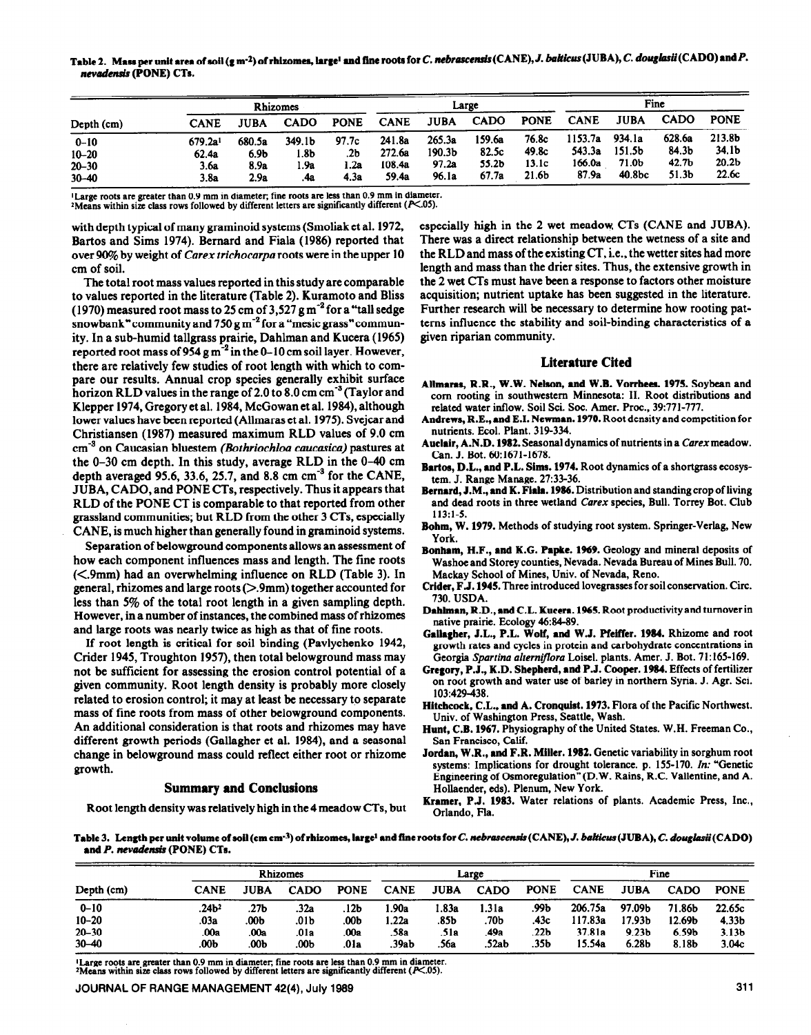Table 2. Mass per unit area of soil (g m<sup>-2</sup>) of rhizomes, large<sup>1</sup> and fine roots for *C. nebrascensis* (CANE), *J. balticus* (JUBA), *C. douglasii* (CADO) and *P.* nevudensis **(PONE) CTs.** 

| Depth (cm) | <b>Rhizomes</b>     |        |             |             | Large       |                    |             |                   | Fine        |        |                   |                   |
|------------|---------------------|--------|-------------|-------------|-------------|--------------------|-------------|-------------------|-------------|--------|-------------------|-------------------|
|            | CANE                | JUBA   | <b>CADO</b> | <b>PONE</b> | <b>CANE</b> | JUBA               | <b>CADO</b> | <b>PONE</b>       | <b>CANE</b> | JUBA   | <b>CADO</b>       | <b>PONE</b>       |
| $0 - 10$   | 679.2a <sup>1</sup> | 680.5a | 349.1b      | 97.7c       | 241.8a      | 265.3a             | 159.6a      | 76.8c             | 1153.7a     | 934.1a | 628.6a            | 213.8b            |
| $10 - 20$  | 62.4a               | 6.9b   | l.8b        | .2b         | 272.6a      | 190.3 <sub>b</sub> | 82.5c       | 49.8c             | 543.3a      | 151.5b | 84.3 <sub>b</sub> | 34.1 <sub>b</sub> |
| $20 - 30$  | 3.6a                | 8.9a   | i .9a       | . 2a        | 108.4a      | 97.2a              | 55.2b       | 13.1c             | 166.0a      | 71.0b  | 42.7b             | 20.2 <sub>b</sub> |
| $30 - 40$  | 3.8a                | 2.9a   | .4a         | 4.3a        | 59.4a       | 96.1a              | 67.7a       | 21.6 <sub>b</sub> | 87.9a       | 40.8bc | 51.3 <sub>b</sub> | 22.6c             |

**'Large roots sre greater than 0.9 mm in diameter, fine roots arc less than 0.9 mm in diameter.** 

<sup>2</sup>Means within size class rows followed by different letters are significantly different (P<.05).

**with depth typical of many graminoid systems (Smoliak et al.** 1972, **Bartos and Sims 1974). Bernard and Fiala (1986) reported that over !X% by weight** of Carex *trichocarpa* roots were **in the upper** 10 **cm of soil.** 

**The total root mass values** reported in this study are comparable to values reported in the literature (Table 2). Kuramoto and Bliss (1970) measured root mass to  $25 \text{ cm}$  of  $3,527 \text{ g m}^{-2}$  for a "tall sedge snowbank" community and 750 g m.2 for a "mesic **grass" commun**ity. In a sub-humid tallgrass prairie, Dahlman and Kucera (1965) reported root mass of  $954 \text{ g m}^{-2}$  in the 0-10 cm soil layer. However, there are relatively few studies of root length with which to compare our results. Annual crop species generally exhibit surface horizon RLD values in the range of 2.0 to 8.0 cm cm<sup>-3</sup> (Taylor and Klepper 1974, Gregory et al. 1984, McGowan et al. 1984), although lower values have been reported (Allmaras et al. 1975). Svejcar and Christiansen (1987) measured maximum RLD values of 9.0 cm cm.' on Caucasian bluestem *(Bothriochloa caucasica)* pastures at the O-30 cm depth. In this study, average RLD in the O-40 cm depth averaged 95.6, 33.6, 25.7, and 8.8 cm  $cm^{-3}$  for the CANE. JUBA, CADO, and PONE CTs, respectively. Thus it appears that RLD of the PONE CT is comparable to that reported from other grassland communities; but RLD from the other 3 CTs, especially CANE, is much higher than generally found in graminoid systems.

Separation of belowground components allows an assessment of how each component influences mass and length. The fine roots (<.9mm) had an overwhelming influence on RLD (Table 3). In general, rhizomes and large roots (>.9mm) together accounted for less than 5% of the total root length in a given sampling depth. However, in a number of instances, the combined mass of rhizomes and large roots was nearly twice as high as that of fine roots.

If root length is critical for soil binding (Pavlychenko 1942, Crider 1945, Troughton 1957), then total belowground mass may not be sufficient for assessing the erosion control potential of a given community. Root length density is probably more closely related to erosion control; it may at least be necessary to separate mass of fine roots from mass of other belowground components. An additional consideration is that roots and rhizomes may have different growth periods (Gallagher et al. 1984), and a seasonal change in belowground mass could reflect either root or rhizome growth.

# **Summary and Conclusions**

Root **length density was relatively high in the 4** meadow CTs, but

especially high in the 2 wet meadow. CTs (CANE and JUBA). There was a direct relationship between the wetness of a site and the RLD and mass of the existing CT, i.e., the wetter sites had more length and mass than the drier sites. Thus, the extensive growth in the 2 wet CTs must have been a response to factors other moisture acquisition; nutrient uptake has been suggested in the literature. Further research will be necessary to determine how rooting patterns influence the stability and soil-binding characteristics of a given riparian community.

# **Literature Cited**

- Allmaras, R.R., W.W. Nelson, and W.B. Vorrhees. 1975. Soybean and corn rooting in southwestern Minnesota: II. Root distributions and related water inflow. Soil Sci. Soc. Amer. Proc., 39:771-777.
- **Andrew, R.E., end E.I. Newman. 1970. Root density and competition for nutrients. Ecol. Plant. 319-334.**
- Auclair, A.N.D. 1982. Seasonal dynamics of nutrients in a *Carex* meadow. **Can. J. Bot. 60~1671-1678.**
- **Bartos, D.L., and P.L. Sims. 1974. Root dynamics of a shortgrass ecosystem. J. Range Manage. 27:33-36.**
- **Bernard, J.M., and K. FiaIa. 19%. Distribution and standing crop of living and dead roots in three wetland** *Carex* **species, Bull. Torrey Bot. Club 113:1-5.**
- **Bohm, W. 1979. Methods of studying root system. Springer-Verlag. New York.**
- **Bonham, H.F., end K.C. Papke. 1969. Geology and mineral deposits of**  Washoe and Storey counties, Nevada. Nevada Bureau of Mines Bull. 70. **Mackay School of Mines, Univ. of Nevada, Reno.**
- **Crider, F J. 1945. Three introduced lovegrasses for soil conservation. Circ. 730. USDA.**
- Dahlman, R.D., and C.L. Kucera. 1965. Root productivity and turnover in native prairie. Ecology 46:84-89.
- **CaBagher, J.L., P.L. Wolf, and W.J. Pfeiffer. 1984. Rhizome and root growth rates and cycles in protein and carbohydrate concentrations in Georgia Spurrzira** *ultemifloru* **Loisel. plants. Amer. J. Bot. 71:165-169.**
- **Gregory, P.J., K.D. Shepherd, and P.J. Cooper. 1984. Effects of fertilizer on root growth and water use of barley in northern Syria. J. Agr. Sci. 103:429-438.**
- **Hitchcock, C.L., and A. Cronquist. 1973. Flora of the Pacific Northwest. Univ. of Washington Press, Seattle, Wash.**
- **Hunt, C.B. 1967. Physiography of the United States. W.H. Freeman Co., San Francisco, Calif.**
- **Jordan, W.R., and F.R. Miller. 1982. Genetic variability in sorghum root systems: Implications for drought tolerance. p. 155.170. In: "Genetic Engineering of Gsmoregulation"(D.W. Rains, R.C. Vallentine, and A. Hollaender, eds). Plenum, New York.**
- **Kramer, P.J. 1983. Water relations of plants. Academic Press, Inc., Orlando, Fla.**

Table 3. Length per unit volume of soil (cm cm<sup>-3</sup>) of rhizomes, large<sup>1</sup> and fine roots for *C*. nebrascensis (CANE), *J. balticus* (JUBA), *C. douglasii* (CADO) and P. nevadensis (PONE) CTs.

| Depth (cm) | <b>Rhizomes</b>    |      |             | Large       |             |             |             | Fine        |             |                   |                   |                   |
|------------|--------------------|------|-------------|-------------|-------------|-------------|-------------|-------------|-------------|-------------------|-------------------|-------------------|
|            | <b>CANE</b>        | JUBA | <b>CADO</b> | <b>PONE</b> | <b>CANE</b> | <b>JUBA</b> | <b>CADO</b> | <b>PONE</b> | <b>CANE</b> | <b>JUBA</b>       | <b>CADO</b>       | <b>PONE</b>       |
| $0 - 10$   | .24 <sub>b</sub> 2 | .27Ь | .32a        | .12b        | .90a        | 83a         | l.31a       | .99b        | 206.75a     | 97.09b            | 71.86b            | 22.65c            |
| $10 - 20$  | .03a               | .00b | .01b        | .00b        | .22a        | .85b        | .70Ь        | .43c        | 117.83a     | 17.93Ь            | 12.69b            | 4.33 <sub>b</sub> |
| $20 - 30$  | .00a               | .00a | .01a        | .00a        | .58a        | .51a        | 49a         | .22b        | 37.81a      | 9.23 <sub>b</sub> | 6.59 <sub>b</sub> | 3.13 <sub>b</sub> |
| $30 - 40$  | .00b               | .00Ъ | .00b        | .01a        | .39ab       | .56a        | .52ab       | .35b        | 15.54a      | 6.28 <sub>b</sub> | 8.18b             | 3.04c             |

**'Large roots are greater than 0.9 mm in diameter, fine roots arc less than 0.9 mm in diameter.**  <sup>2</sup>Means within size class rows followed by different letters are significantly different  $(F<.05)$ .